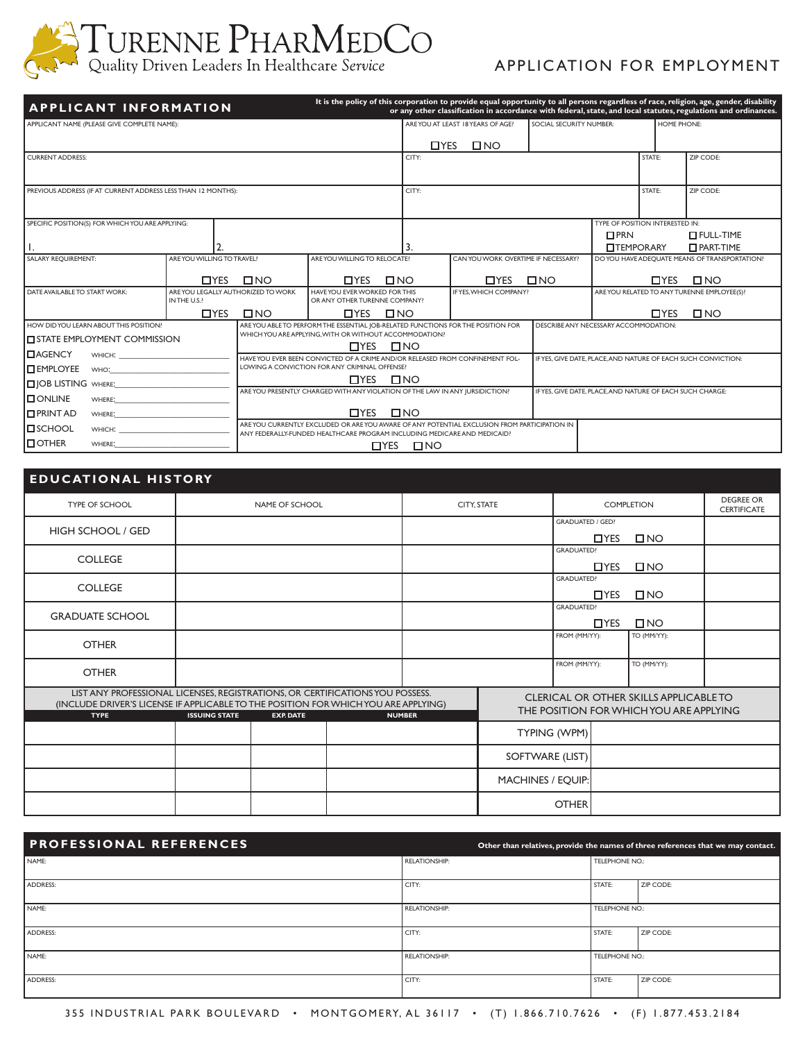

# APPLICATION FOR EMPLOYMENT

Supplies | Solutions | Savings

| APPLICANT NAME (PLEASE GIVE COMPLETE NAME):                                                                                                                                                                                    |                                                  |                                                                                                  | ARE YOU AT LEAST 18 YEARS OF AGE? |                                                                                                                                                                                                                                                                                                                  |               |                                                                                                                                                                                                                                                                                                                                                 |                                                                                                                                                                               |                         | <b>HOME PHONE:</b>                                                                                                                                                                                                                                                                                                                                                                                                                                                                                                                                                                   |  |
|--------------------------------------------------------------------------------------------------------------------------------------------------------------------------------------------------------------------------------|--------------------------------------------------|--------------------------------------------------------------------------------------------------|-----------------------------------|------------------------------------------------------------------------------------------------------------------------------------------------------------------------------------------------------------------------------------------------------------------------------------------------------------------|---------------|-------------------------------------------------------------------------------------------------------------------------------------------------------------------------------------------------------------------------------------------------------------------------------------------------------------------------------------------------|-------------------------------------------------------------------------------------------------------------------------------------------------------------------------------|-------------------------|--------------------------------------------------------------------------------------------------------------------------------------------------------------------------------------------------------------------------------------------------------------------------------------------------------------------------------------------------------------------------------------------------------------------------------------------------------------------------------------------------------------------------------------------------------------------------------------|--|
|                                                                                                                                                                                                                                |                                                  |                                                                                                  |                                   |                                                                                                                                                                                                                                                                                                                  |               |                                                                                                                                                                                                                                                                                                                                                 |                                                                                                                                                                               |                         |                                                                                                                                                                                                                                                                                                                                                                                                                                                                                                                                                                                      |  |
|                                                                                                                                                                                                                                |                                                  |                                                                                                  | CITY:                             |                                                                                                                                                                                                                                                                                                                  |               |                                                                                                                                                                                                                                                                                                                                                 |                                                                                                                                                                               | STATE:                  | ZIP CODE:                                                                                                                                                                                                                                                                                                                                                                                                                                                                                                                                                                            |  |
|                                                                                                                                                                                                                                |                                                  |                                                                                                  |                                   |                                                                                                                                                                                                                                                                                                                  |               |                                                                                                                                                                                                                                                                                                                                                 |                                                                                                                                                                               |                         |                                                                                                                                                                                                                                                                                                                                                                                                                                                                                                                                                                                      |  |
| PREVIOUS ADDRESS (IF AT CURRENT ADDRESS LESS THAN 12 MONTHS):                                                                                                                                                                  |                                                  |                                                                                                  |                                   |                                                                                                                                                                                                                                                                                                                  |               |                                                                                                                                                                                                                                                                                                                                                 |                                                                                                                                                                               |                         | ZIP CODE:                                                                                                                                                                                                                                                                                                                                                                                                                                                                                                                                                                            |  |
|                                                                                                                                                                                                                                |                                                  |                                                                                                  |                                   |                                                                                                                                                                                                                                                                                                                  |               |                                                                                                                                                                                                                                                                                                                                                 |                                                                                                                                                                               |                         |                                                                                                                                                                                                                                                                                                                                                                                                                                                                                                                                                                                      |  |
|                                                                                                                                                                                                                                |                                                  |                                                                                                  |                                   |                                                                                                                                                                                                                                                                                                                  |               |                                                                                                                                                                                                                                                                                                                                                 | $\Box$ PRN                                                                                                                                                                    |                         | $I$ FULL-TIME                                                                                                                                                                                                                                                                                                                                                                                                                                                                                                                                                                        |  |
| $\overline{2}$                                                                                                                                                                                                                 |                                                  |                                                                                                  |                                   |                                                                                                                                                                                                                                                                                                                  |               |                                                                                                                                                                                                                                                                                                                                                 |                                                                                                                                                                               |                         | $\Box$ PART-TIME                                                                                                                                                                                                                                                                                                                                                                                                                                                                                                                                                                     |  |
|                                                                                                                                                                                                                                |                                                  |                                                                                                  |                                   |                                                                                                                                                                                                                                                                                                                  |               |                                                                                                                                                                                                                                                                                                                                                 |                                                                                                                                                                               |                         |                                                                                                                                                                                                                                                                                                                                                                                                                                                                                                                                                                                      |  |
| $\Box$ YES                                                                                                                                                                                                                     | $\square$ NO                                     | $\Box$ YES                                                                                       |                                   |                                                                                                                                                                                                                                                                                                                  | <b>T</b> IYES |                                                                                                                                                                                                                                                                                                                                                 |                                                                                                                                                                               | $\Box$ YES              | $\square$ NO                                                                                                                                                                                                                                                                                                                                                                                                                                                                                                                                                                         |  |
| IN THE U.S.?                                                                                                                                                                                                                   |                                                  |                                                                                                  |                                   |                                                                                                                                                                                                                                                                                                                  |               |                                                                                                                                                                                                                                                                                                                                                 |                                                                                                                                                                               |                         |                                                                                                                                                                                                                                                                                                                                                                                                                                                                                                                                                                                      |  |
| $\Box$ YES                                                                                                                                                                                                                     | $\square$ NO                                     | <b>□YES</b>                                                                                      |                                   |                                                                                                                                                                                                                                                                                                                  |               |                                                                                                                                                                                                                                                                                                                                                 |                                                                                                                                                                               | $\Box$ YES              | $\square$ NO                                                                                                                                                                                                                                                                                                                                                                                                                                                                                                                                                                         |  |
| HOW DID YOU LEARN ABOUT THIS POSITION?                                                                                                                                                                                         |                                                  |                                                                                                  |                                   |                                                                                                                                                                                                                                                                                                                  |               |                                                                                                                                                                                                                                                                                                                                                 |                                                                                                                                                                               |                         |                                                                                                                                                                                                                                                                                                                                                                                                                                                                                                                                                                                      |  |
| <b>IN STATE EMPLOYMENT COMMISSION</b>                                                                                                                                                                                          |                                                  |                                                                                                  |                                   |                                                                                                                                                                                                                                                                                                                  |               |                                                                                                                                                                                                                                                                                                                                                 |                                                                                                                                                                               |                         |                                                                                                                                                                                                                                                                                                                                                                                                                                                                                                                                                                                      |  |
|                                                                                                                                                                                                                                |                                                  |                                                                                                  |                                   |                                                                                                                                                                                                                                                                                                                  |               |                                                                                                                                                                                                                                                                                                                                                 |                                                                                                                                                                               |                         |                                                                                                                                                                                                                                                                                                                                                                                                                                                                                                                                                                                      |  |
| WHO : The contract of the contract of the contract of the contract of the contract of the contract of the contract of the contract of the contract of the contract of the contract of the contract of the contract of the cont |                                                  |                                                                                                  |                                   |                                                                                                                                                                                                                                                                                                                  |               |                                                                                                                                                                                                                                                                                                                                                 |                                                                                                                                                                               |                         |                                                                                                                                                                                                                                                                                                                                                                                                                                                                                                                                                                                      |  |
| $\Box$ JOB LISTING where $\colon$                                                                                                                                                                                              |                                                  | $\Box$ YES                                                                                       |                                   |                                                                                                                                                                                                                                                                                                                  |               |                                                                                                                                                                                                                                                                                                                                                 |                                                                                                                                                                               |                         |                                                                                                                                                                                                                                                                                                                                                                                                                                                                                                                                                                                      |  |
| WHERE : The contract of the contract of the contract of the contract of the contract of the contract of the contract of the contract of the contract of the contract of the contract of the contract of the contract of the co |                                                  |                                                                                                  |                                   |                                                                                                                                                                                                                                                                                                                  |               |                                                                                                                                                                                                                                                                                                                                                 |                                                                                                                                                                               |                         |                                                                                                                                                                                                                                                                                                                                                                                                                                                                                                                                                                                      |  |
| WHERE :                                                                                                                                                                                                                        |                                                  | <b>T</b> IYES                                                                                    |                                   |                                                                                                                                                                                                                                                                                                                  |               |                                                                                                                                                                                                                                                                                                                                                 |                                                                                                                                                                               |                         |                                                                                                                                                                                                                                                                                                                                                                                                                                                                                                                                                                                      |  |
| WHICH : New York Products and the contract of the contract of the contract of the contract of the contract of the contract of the contract of the contract of the contract of the contract of the contract of the contract of  |                                                  |                                                                                                  |                                   |                                                                                                                                                                                                                                                                                                                  |               |                                                                                                                                                                                                                                                                                                                                                 |                                                                                                                                                                               |                         |                                                                                                                                                                                                                                                                                                                                                                                                                                                                                                                                                                                      |  |
|                                                                                                                                                                                                                                |                                                  |                                                                                                  | $\square$ NO                      |                                                                                                                                                                                                                                                                                                                  |               |                                                                                                                                                                                                                                                                                                                                                 |                                                                                                                                                                               |                         |                                                                                                                                                                                                                                                                                                                                                                                                                                                                                                                                                                                      |  |
|                                                                                                                                                                                                                                | SPECIFIC POSITION(S) FOR WHICH YOU ARE APPLYING: | <b>APPLICANT INFORMATION</b><br>ARE YOU WILLING TO TRAVEL?<br>ARE YOU LEGALLY AUTHORIZED TO WORK | $\Box$ YES                        | CITY:<br>ARE YOU WILLING TO RELOCATE?<br>$\square$ NO<br>HAVE YOU EVER WORKED FOR THIS<br>OR ANY OTHER TURENNE COMPANY?<br>$\square$ NO<br>WHICH YOU ARE APPLYING, WITH OR WITHOUT ACCOMMODATION?<br>$\square$ NO<br>LOWING A CONVICTION FOR ANY CRIMINAL OFFENSE?<br>$\square$ NO<br>$\square$ NO<br>$\Box$ YES | $\Box$ YES    | $\square$ NO<br>ARE YOU ABLE TO PERFORM THE ESSENTIAL JOB-RELATED FUNCTIONS FOR THE POSITION FOR<br>HAVE YOU EVER BEEN CONVICTED OF A CRIME AND/OR RELEASED FROM CONFINEMENT FOL-<br>TARE YOU PRESENTLY CHARGED WITH ANY VIOLATION OF THE LAW IN ANY JURSIDICTION?<br>FANY FEDERALLY-FUNDED HEALTHCARE PROGRAM INCLUDING MEDICARE AND MEDICAID? | CAN YOU WORK OVERTIME IF NECESSARY?<br>$\square$ NO<br>IF YES. WHICH COMPANY?<br>ARE YOU CURRENTLY EXCLUDED OR ARE YOU AWARE OF ANY POTENTIAL EXCLUSION FROM PARTICIPATION IN | SOCIAL SECURITY NUMBER: | It is the policy of this corporation to provide equal opportunity to all persons regardless of race, religion, age, gender,<br>or any other classification in accordance with federal, state, and local statutes, requlations and ord<br>STATE:<br>TYPE OF POSITION INTERESTED IN:<br><b>TEMPORARY</b><br>DO YOU HAVE ADEQUATE MEANS OF TRANSPORTATION?<br>ARE YOU RELATED TO ANY TURENNE EMPLOYEE(S)?<br><b>DESCRIBE ANY NECESSARY ACCOMMODATION:</b><br>IF YES, GIVE DATE, PLACE, AND NATURE OF EACH SUCH CONVICTION:<br>IF YES, GIVE DATE, PLACE, AND NATURE OF EACH SUCH CHARGE: |  |

| <b>EDUCATIONAL HISTORY</b>                                                                                                                                                          |                      |                  |               |                          |                                 |                                                                                   |                                 |
|-------------------------------------------------------------------------------------------------------------------------------------------------------------------------------------|----------------------|------------------|---------------|--------------------------|---------------------------------|-----------------------------------------------------------------------------------|---------------------------------|
| TYPE OF SCHOOL                                                                                                                                                                      |                      | NAME OF SCHOOL   |               | CITY, STATE              |                                 | <b>COMPLETION</b>                                                                 | <b>DEGREE OR</b><br>CERTIFICATE |
| HIGH SCHOOL / GED                                                                                                                                                                   |                      |                  |               |                          | <b>GRADUATED / GED?</b>         |                                                                                   |                                 |
|                                                                                                                                                                                     |                      |                  |               |                          | $\Box$ YES<br><b>GRADUATED?</b> | $\square$ NO                                                                      |                                 |
| <b>COLLEGE</b>                                                                                                                                                                      |                      |                  |               |                          | $\Box$ YES                      | $\square$ NO                                                                      |                                 |
| COLLEGE                                                                                                                                                                             |                      |                  |               |                          | <b>GRADUATED?</b><br>$\Box$ YES | $\square$ NO                                                                      |                                 |
| <b>GRADUATE SCHOOL</b>                                                                                                                                                              |                      |                  |               |                          | <b>GRADUATED?</b><br>$\Box$ YES | $\square$ NO                                                                      |                                 |
| <b>OTHER</b>                                                                                                                                                                        |                      |                  |               |                          | FROM (MM/YY):                   | TO (MM/YY):                                                                       |                                 |
| <b>OTHER</b>                                                                                                                                                                        |                      |                  |               |                          | FROM (MM/YY):                   | TO (MM/YY):                                                                       |                                 |
| LIST ANY PROFESSIONAL LICENSES, REGISTRATIONS, OR CERTIFICATIONS YOU POSSESS.<br>(INCLUDE DRIVER'S LICENSE IF APPLICABLE TO THE POSITION FOR WHICH YOU ARE APPLYING)<br><b>TYPE</b> | <b>ISSUING STATE</b> | <b>EXP. DATE</b> | <b>NUMBER</b> |                          |                                 | CLERICAL OR OTHER SKILLS APPLICABLE TO<br>THE POSITION FOR WHICH YOU ARE APPLYING |                                 |
|                                                                                                                                                                                     |                      |                  |               |                          | TYPING (WPM)                    |                                                                                   |                                 |
|                                                                                                                                                                                     |                      |                  |               | SOFTWARE (LIST)          |                                 |                                                                                   |                                 |
|                                                                                                                                                                                     |                      |                  |               | <b>MACHINES / EQUIP:</b> |                                 |                                                                                   |                                 |
|                                                                                                                                                                                     |                      |                  |               |                          | <b>OTHER</b>                    |                                                                                   |                                 |

| <b>PROFESSIONAL REFERENCES</b> |                      | Other than relatives, provide the names of three references that we may cor |           |  |  |  |
|--------------------------------|----------------------|-----------------------------------------------------------------------------|-----------|--|--|--|
| NAME:                          | <b>RELATIONSHIP:</b> | TELEPHONE NO.:                                                              |           |  |  |  |
| ADDRESS:                       | CITY:                | STATE:                                                                      | ZIP CODE: |  |  |  |
| NAME:                          | RELATIONSHIP:        | <b>TELEPHONE NO.:</b>                                                       |           |  |  |  |
| ADDRESS:                       | CITY:                | STATE:                                                                      | ZIP CODE: |  |  |  |
| NAME:                          | RELATIONSHIP:        | TELEPHONE NO.:                                                              |           |  |  |  |
| ADDRESS:                       | CITY:                | STATE:                                                                      | ZIP CODE: |  |  |  |